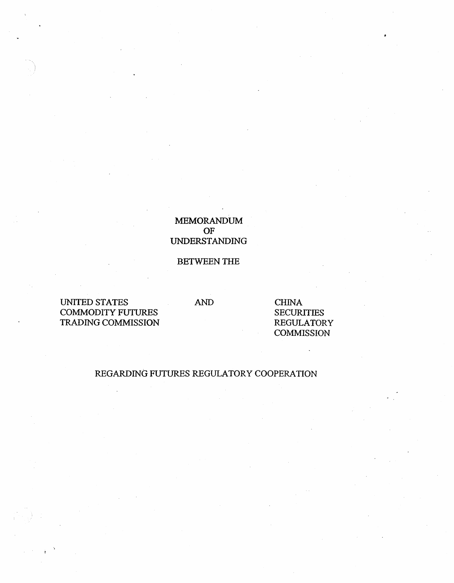# MEMORANDUM OF UNDERSTANDING

## BETWEEN THE

UNITED STATES COMMODITY FUTIJRES TRADING COMMISSION

AND CHINA **SECURITIES** REGULATORY **COMMISSION** 

# REGARDING FUTURES REGULATORY COOPERATION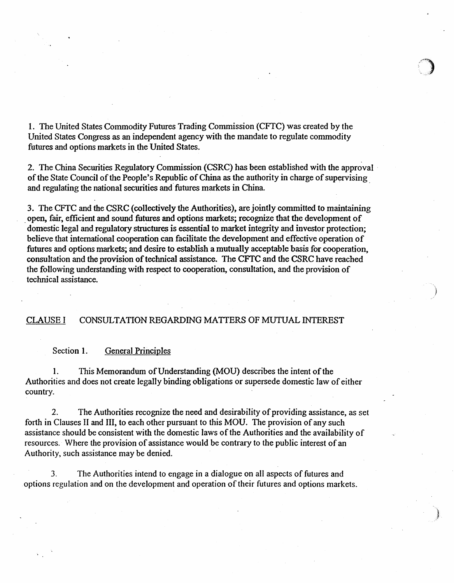1. The United States Commodity Futures Trading Commission (CFfC) was created by the United States Congress as an independent agency with the mandate to regulate commodity futures and options markets in the United States.

2. The China Securities Regulatory Commission (CSRC) has been established with the approval · of the State Council of the People's Republic of China as the authority in charge of supervising and regulating the national securities and· futures markets in China.

3. The CFfC and the CSRC (collectively the Authorities), are jointly committed to maintaining open, fair, efficient and sound futures and options markets; recognize that the development of domestic legal and regulatory structures is essential to market integrity and investor protection; believe that international cooperation can facilitate the development and effective operation of futures and options markets; and desire to establish a mutually acceptable basis for cooperation, consultation and the provision of technical assistance. The CFTC and the CSRC have reached the following understanding with respect to cooperation, consultation, and the provision of technical assistance.

## CLAUSE I CONSULTATION REGARDING MATTERS OF MUTUAL INTEREST

### Section 1. General Principles

1. This Memorandum of Understanding (MOU) describes the intent of the Authorities and does not create legally binding obligations or supersede domestic law of either country.

2. The Authorities recognize the need and desirability of providing assistance, as set forth in Clauses II and III, to each other pursuant to this MOU. The provision of any such assistance should be consistent with the domestic laws of the Authorities and the availability of resources. Where the provision of assistance would be contrary to the public interest of an Authority, such assistance may be denied.

3. The Authorities intend to engage in a dialogue on all aspects of futures and options regulation and on the development and operation of their futures and options markets.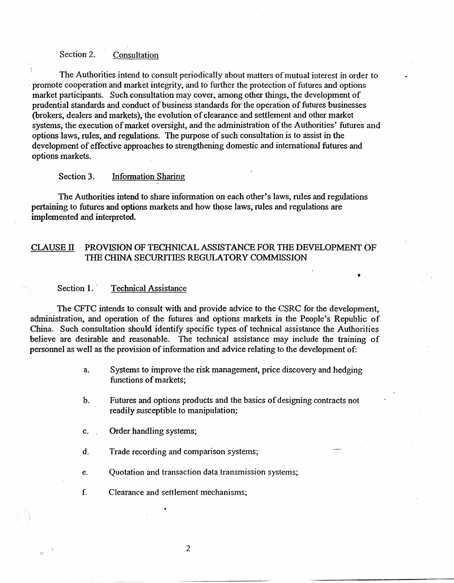## Section 2. Consultation

The Authorities intend to consult periodically about matters of mutual interest in order to promote cooperation and market integrity, and to further the protection of futures and options market participants. Such consultation may cover, among other things, the development of prudential standards and conduct of business standards for the operation of futures businesses (brokers, dealers and markets), the evolution of clearance and settlement and other market systems, the execution of market oversight, and the administration of the Authorities' futures and options laws, rules, and regulations. The purpose of such consultation is to assist in the development of effective approaches to strengthening domestic and international futures and options markets.

## Section 3. Information Sharing

The Authorities intend to share information on each other's laws, rules and regulations pertaining to futures and options markets and how those laws, rules and regulations are implemented and interpreted.

## CLAUSE IT PROVISION OF TECHNICAL.ASSISTANCE FOR THE DEVELOPMENT OF THE CHINA SECURITIES REGULATORY COMMISSION

### Section 1. Technical Assistance

The CFfC intends to consult with and provide advice to the CSRC for the development, administration, and operation of the futures and options markets in the People's Republic of China. Such consultation should identify specific types of technical assistance the Authorities believe are desirable and reasonable. The technical assistance may include the training of personnel as well as the provision of information and advice relating to the development of:

> a. Systems to improve the risk management, price discovery and hedging functions of markets;

'

- b. Futures and options products and the basics of designing contracts not readily susceptible to manipulation;
- c. Order handling systems;
- d. Trade recording and comparison systems;
- e. Quotation and transaction data transmission systems;
- f. Clearance and settlement mechanisms;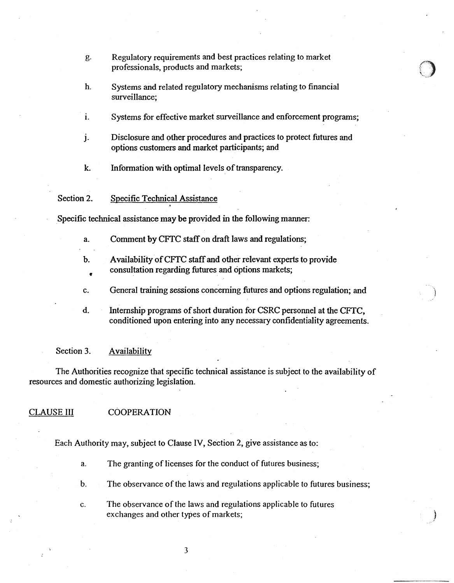- g. Regulatory requirements and best practices relating to market professionals, products and markets;
- h. Systems and related regulatory mechanisms relating to financial surveillance;
- I. Systems for effective market surveillance and enforcement programs;
- J. Disclosure and other procedures and practices to protect futures and options customers and market participants; and
- k. Information with optimal levels\_ of transparency.

#### Section 2. Specific Technical Assistance

Specific technical assistance may be provided in the following manner:

- a. Comment by CFfC staff on draft laws and regulations;
- b. Availability of CFfC staff and other relevant experts to provide consultation regarding futures and options markets;
- c. General training sessions concerning futures and options regulation; and
- d. Internship programs of short duration for CSRC personnel at the CFTC, conditioned upon entering into any necessary confidentiality agreements.

### Section 3. Availability

The Authorities recognize that specific technical assistance is subject to the availability of resources and domestic authorizing legislation.

### CLAUSE III COOPERATION

Each Authority may, subject to Clause IV, Section 2, give assistance as to:

- a. The granting of licenses for the conduct of futures business;
- b. The observance of the laws and regulations applicable to futures business;

} /

c. The observance of the laws and regulations applicable to futures exchanges and other types of markets;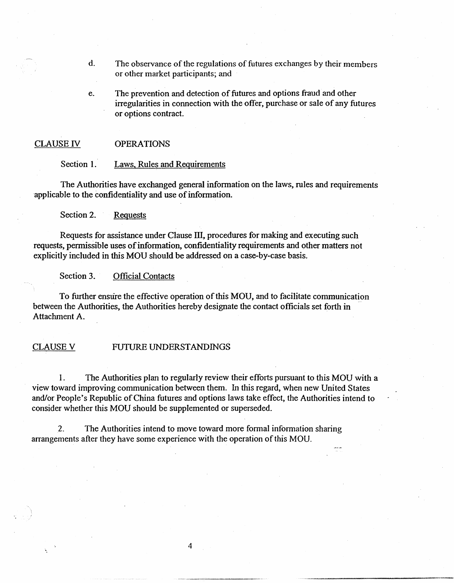- d. The observance of the regulations of futures exchanges by their members or other market participants; and
- e. The prevention and detection of futures and options fraud and other irregularities in connection with the offer, purchase or sale of any futures or options contract.

#### CLAUSE IV OPERATIONS

Section 1. Laws, Rules and Requirements

The Authorities have exchanged general information on the laws, rules and requirements applicable to the confidentiality and use of information.

Section 2. Requests

Requests for assistance under Clause III, procedures for making and executing such requests, permissible uses of information, confidentiality requirements and other matters not explicitly included in this MOU should be addressed on a case-by-case basis.

Section 3. Official Contacts

To further ensure the effective operation of this MOU, and to facilitate communication between the Authorities, the Authorities hereby designate the contact officials set forth in Attachment A.

### CLAUSE V FUTURE UNDERSTANDINGS

I. The Authorities plan to regularly review their efforts pursuant to this MOU with a view toward improving communication between them. In this regard, when new United States and/or People's Republic of China futures and options laws take effect, the Authorities intend to consider whether this MOU should be supplemented or superseded.

2. The Authorities intend to move toward more fonnal information sharing arrangements after they have some experience with the operation of this MOU.

4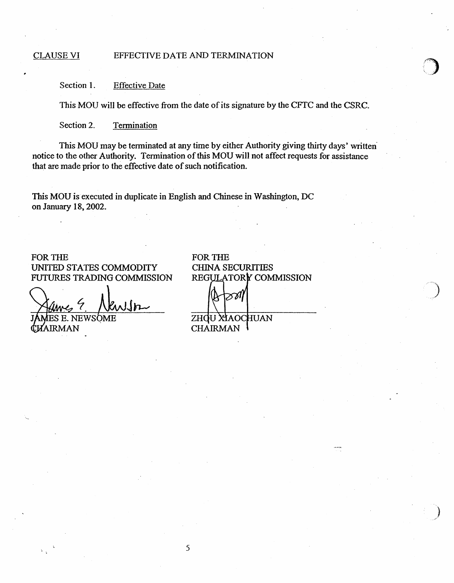## CLAUSE VI EFFECTIVE DATE AND TERMINATION

Section 1. Effective Date

This MOU will be effective from the date of its signature by the CFTC and the CSRC.

Section 2. Termination

This MOU may be terminated at any time by either Authority giving thirty days' written· notice to the other Authority. Termination of this MOU will not affect requests for assistance that are made prior to the effective date of such notification.

This MOU is executed in duplicate in English and Chinese in Washington, DC on January 18,2002.

## FOR THE UNITED STATES COMMODITY FUTURES TRADING COMMISSION

wlfr E. NEWSOMF

**LIRMAN** 

FOR THE CHINA SECURITIES REGULATORY COMMISSION ळ∥

ZHOU XIAOCHUAN **CHAIRMAN**